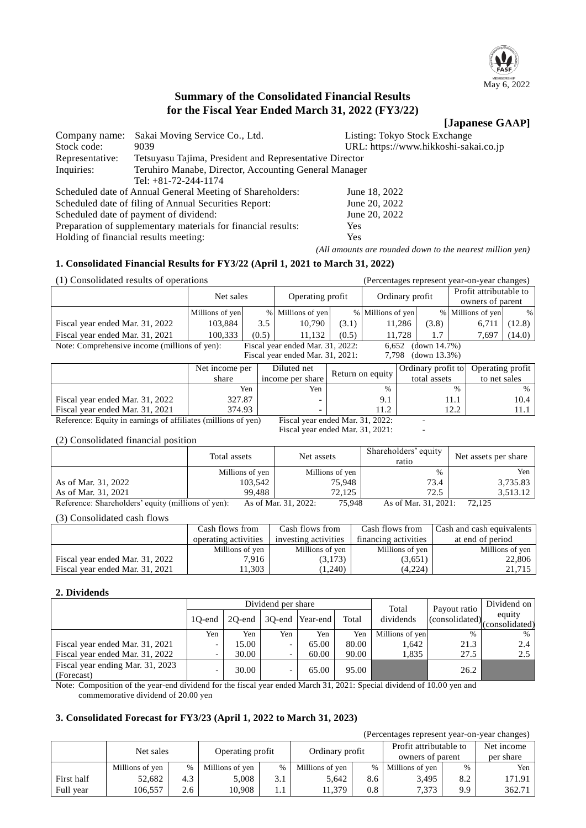

# **Summary of the Consolidated Financial Results for the Fiscal Year Ended March 31, 2022 (FY3/22)**

# **[Japanese GAAP]**

| Company name:                         | Sakai Moving Service Co., Ltd.                                | Listing: Tokyo Stock Exchange         |  |  |  |  |
|---------------------------------------|---------------------------------------------------------------|---------------------------------------|--|--|--|--|
| Stock code:                           | 9039                                                          | URL: https://www.hikkoshi-sakai.co.jp |  |  |  |  |
| Representative:                       | Tetsuyasu Tajima, President and Representative Director       |                                       |  |  |  |  |
| Inquiries:                            | Teruhiro Manabe, Director, Accounting General Manager         |                                       |  |  |  |  |
|                                       | Tel: $+81-72-244-1174$                                        |                                       |  |  |  |  |
|                                       | Scheduled date of Annual General Meeting of Shareholders:     | June 18, 2022                         |  |  |  |  |
|                                       | Scheduled date of filing of Annual Securities Report:         | June 20, 2022                         |  |  |  |  |
|                                       | Scheduled date of payment of dividend:                        | June 20, 2022                         |  |  |  |  |
|                                       | Preparation of supplementary materials for financial results: | Yes.                                  |  |  |  |  |
| Holding of financial results meeting: |                                                               | <b>Yes</b>                            |  |  |  |  |

*(All amounts are rounded down to the nearest million yen)*

(Percentages represent year-on-year changes)

# **1. Consolidated Financial Results for FY3/22 (April 1, 2021 to March 31, 2022)**

| (1) Consolidated results of operations                                            |                 |       |                                  |                  |                   |                 |                    | (Percentages represent year-on-year changes) |                  |
|-----------------------------------------------------------------------------------|-----------------|-------|----------------------------------|------------------|-------------------|-----------------|--------------------|----------------------------------------------|------------------|
|                                                                                   | Net sales       |       |                                  | Operating profit |                   | Ordinary profit |                    | Profit attributable to<br>owners of parent   |                  |
|                                                                                   |                 |       |                                  |                  |                   |                 |                    |                                              |                  |
|                                                                                   | Millions of yen |       | % Millions of yen                |                  | % Millions of yen |                 |                    | % Millions of yen                            | %                |
| Fiscal year ended Mar. 31, 2022                                                   | 103,884         | 3.5   | 10,790                           | (3.1)            |                   | 11,286          | (3.8)              | 6,711                                        | (12.8)           |
| Fiscal year ended Mar. 31, 2021                                                   | 100,333         | (0.5) | 11.132                           | (0.5)            |                   | 11.728          | 1.7                | 7,697                                        | (14.0)           |
| Note: Comprehensive income (millions of yen):<br>Fiscal year ended Mar. 31, 2022: |                 |       |                                  |                  | 6,652             |                 | (down 14.7%)       |                                              |                  |
|                                                                                   |                 |       | Fiscal year ended Mar. 31, 2021: |                  | 7.798             |                 | (down 13.3%)       |                                              |                  |
|                                                                                   | Net income per  |       | Diluted net                      |                  | Return on equity  |                 | Ordinary profit to |                                              | Operating profit |
|                                                                                   | share           |       | income per share                 |                  |                   | total assets    |                    | to net sales                                 |                  |
|                                                                                   |                 | Yen   | Yen                              |                  | $\%$              |                 |                    | $\frac{0}{0}$                                | $\%$             |
| Fiscal year ended Mar. 31, 2022                                                   | 327.87          |       |                                  |                  | 9.1               |                 |                    | 11.1                                         | 10.4             |
| Fiscal year ended Mar. 31, 2021                                                   | 374.93          |       |                                  |                  | 11.2              |                 |                    | 12.2                                         | 11.1             |
| Reference: Faulty in earnings of affiliates (millions of yen)                     |                 |       | Fiscal year ended Mar $31,2022$  |                  |                   |                 |                    |                                              |                  |

Reference: Equity in earnings of affiliates (millions of yen) Fiscal year ended Mar. 3 Fiscal year ended Mar. 31, 2021:

(2) Consolidated financial position

|                                                    | Total assets    | Net assets                     | Shareholders' equity<br>ratio | Net assets per share |
|----------------------------------------------------|-----------------|--------------------------------|-------------------------------|----------------------|
|                                                    | Millions of yen | Millions of yen                | $\frac{0}{0}$                 | Yen                  |
| As of Mar. 31, 2022                                | 103,542         | 75.948                         | 73.4                          | 3,735.83             |
| As of Mar. 31, 2021                                | 99.488          | 72.125                         | 72.5                          | 3.513.12             |
| Reference: Shareholders' equity (millions of yen): |                 | 75,948<br>As of Mar. 31, 2022: | As of Mar. 31, 2021:          | 72.125               |

(3) Consolidated cash flows

|                                 | Cash flows from      | Cash flows from      | Cash flows from      | <b>Cash and cash equivalents</b> |
|---------------------------------|----------------------|----------------------|----------------------|----------------------------------|
|                                 | operating activities | investing activities | financing activities | at end of period                 |
|                                 | Millions of yen      | Millions of yen      | Millions of yen      | Millions of yen                  |
| Fiscal year ended Mar. 31, 2022 | 7.916                | (3,173)              | (3,651)              | 22,806                           |
| Fiscal year ended Mar. 31, 2021 | 1.303                | (1,240)              | (4,224)              | 21.715                           |

### **2. Dividends**

|                                                | Dividend per share |        |     |                 |       | Total           | Payout ratio   | Dividend on              |
|------------------------------------------------|--------------------|--------|-----|-----------------|-------|-----------------|----------------|--------------------------|
|                                                | 10-end             | 20-end |     | 30-end Year-end | Total | dividends       | (consolidated) | equity<br>(consolidated) |
|                                                | Yen                | Yen    | Yen | Yen             | Yen   | Millions of yen | $\frac{0}{6}$  | $\%$                     |
| Fiscal year ended Mar. 31, 2021                |                    | 15.00  |     | 65.00           | 80.00 | 1.642           | 21.3           | 2.4                      |
| Fiscal year ended Mar. 31, 2022                |                    | 30.00  |     | 60.00           | 90.00 | 1,835           | 27.5           | $2.5^{\circ}$            |
| Fiscal year ending Mar. 31, 2023<br>(Forecast) |                    | 30.00  |     | 65.00           | 95.00 |                 | 26.2           |                          |

Note: Composition of the year-end dividend for the fiscal year ended March 31, 2021: Special dividend of 10.00 yen and commemorative dividend of 20.00 yen

# **3. Consolidated Forecast for FY3/23 (April 1, 2022 to March 31, 2023)**

|            | relemages represent year-on-year changes) |      |                 |                  |                 |      |                        |               |        |  |  |  |
|------------|-------------------------------------------|------|-----------------|------------------|-----------------|------|------------------------|---------------|--------|--|--|--|
|            | Net sales                                 |      |                 | Operating profit |                 |      | Profit attributable to | Net income    |        |  |  |  |
|            |                                           |      |                 |                  | Ordinary profit |      | owners of parent       | per share     |        |  |  |  |
|            | Millions of yen                           | $\%$ | Millions of yen | %                | Millions of yen | $\%$ | Millions of yen        | $\frac{0}{6}$ | Yen    |  |  |  |
| First half | 52,682                                    | 4.3  | 5.008           | 3.1              | 5.642           | 8.6  | 3.495                  | 8.2           | 171.91 |  |  |  |
| Full year  | 106.557                                   | 2.6  | 10.908          | 1.1              | 11,379          | 0.8  | 7.373                  | 9.9           | 362.71 |  |  |  |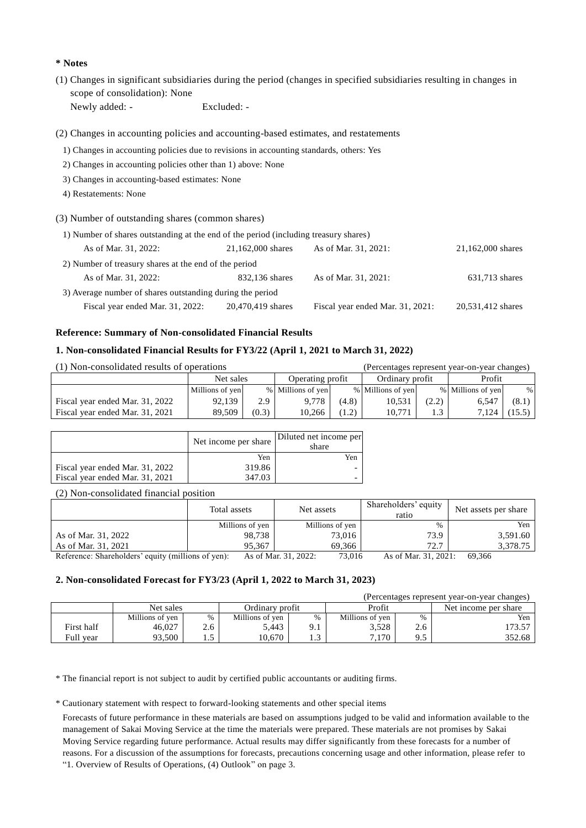### **\* Notes**

(1) Changes in significant subsidiaries during the period (changes in specified subsidiaries resulting in changes in scope of consolidation): None Newly added: - Excluded: -

(2) Changes in accounting policies and accounting-based estimates, and restatements

- 1) Changes in accounting policies due to revisions in accounting standards, others: Yes
- 2) Changes in accounting policies other than 1) above: None
- 3) Changes in accounting-based estimates: None
- 4) Restatements: None

#### (3) Number of outstanding shares (common shares)

| 1) Number of shares outstanding at the end of the period (including treasury shares) |                   |                                  |                   |  |  |  |  |  |  |
|--------------------------------------------------------------------------------------|-------------------|----------------------------------|-------------------|--|--|--|--|--|--|
| As of Mar. 31, 2022:                                                                 | 21,162,000 shares | As of Mar. 31, 2021:             | 21,162,000 shares |  |  |  |  |  |  |
| 2) Number of treasury shares at the end of the period                                |                   |                                  |                   |  |  |  |  |  |  |
| As of Mar. 31, 2022:                                                                 | 832,136 shares    | As of Mar. 31, 2021:             | 631,713 shares    |  |  |  |  |  |  |
| 3) Average number of shares outstanding during the period                            |                   |                                  |                   |  |  |  |  |  |  |
| Fiscal year ended Mar. 31, 2022:                                                     | 20,470,419 shares | Fiscal year ended Mar. 31, 2021: | 20,531,412 shares |  |  |  |  |  |  |

# **Reference: Summary of Non-consolidated Financial Results**

### **1. Non-consolidated Financial Results for FY3/22 (April 1, 2021 to March 31, 2022)**

| (1) Non-consolidated results of operations |                 |       | (Percentages represent year-on-year changes) |       |                   |       |                   |        |
|--------------------------------------------|-----------------|-------|----------------------------------------------|-------|-------------------|-------|-------------------|--------|
|                                            | Net sales       |       | Operating profit                             |       | Ordinary profit   |       | Profit            |        |
|                                            | Millions of yen |       | % Millions of yen                            |       | % Millions of yen |       | % Millions of yen | $\%$   |
| Fiscal year ended Mar. 31, 2022            | 92,139          | 2.9   | 9.778                                        | (4.8) | 10,531            | (2.2) | 6.547             | (8.1)  |
| Fiscal year ended Mar. 31, 2021            | 89.509          | (0.3) | 10.266                                       | (1.2) | 10.771            |       | 7.124             | (15.5) |

|                                 | Net income per share | Diluted net income per<br>share |
|---------------------------------|----------------------|---------------------------------|
|                                 | Yen                  | Yen                             |
| Fiscal year ended Mar. 31, 2022 | 319.86               |                                 |
| Fiscal year ended Mar. 31, 2021 | 347.03               |                                 |

(2) Non-consolidated financial position

|                                                    | Total assets    | Net assets                     | Shareholders' equity<br>ratio | Net assets per share |
|----------------------------------------------------|-----------------|--------------------------------|-------------------------------|----------------------|
|                                                    | Millions of yen | Millions of yen                | $\frac{0}{0}$                 | Yen                  |
| As of Mar. 31, 2022                                | 98,738          | 73.016                         | 73.9                          | 3,591.60             |
| As of Mar. 31, 2021                                | 95.367          | 69.366                         | 72.7                          | 3.378.75             |
| Reference: Shareholders' equity (millions of yen): |                 | As of Mar. 31, 2022:<br>73,016 | As of Mar. 31, 2021:          | 69.366               |

### **2. Non-consolidated Forecast for FY3/23 (April 1, 2022 to March 31, 2023)**

| (Percentages represent year-on-year changes) |                 |     |                 |               |                 |               |                      |  |  |  |
|----------------------------------------------|-----------------|-----|-----------------|---------------|-----------------|---------------|----------------------|--|--|--|
|                                              | Net sales       |     | Ordinary profit |               | Profit          |               | Net income per share |  |  |  |
|                                              | Millions of yen | %   | Millions of yen | $\frac{0}{0}$ | Millions of yen | $\frac{0}{0}$ | Yen                  |  |  |  |
| First half                                   | 46.027          | 2.6 | 5.443           |               | 3.528           | 2.6           | 173.57               |  |  |  |
| Full vear                                    | 93.500          |     | 0.670           | ر…            | 7.170           |               | 352.68               |  |  |  |

\* The financial report is not subject to audit by certified public accountants or auditing firms.

\* Cautionary statement with respect to forward-looking statements and other special items

Forecasts of future performance in these materials are based on assumptions judged to be valid and information available to the management of Sakai Moving Service at the time the materials were prepared. These materials are not promises by Sakai Moving Service regarding future performance. Actual results may differ significantly from these forecasts for a number of reasons. For a discussion of the assumptions for forecasts, precautions concerning usage and other information, please refer to

"1. Overview of Results of Operations, (4) Outlook" on page 3.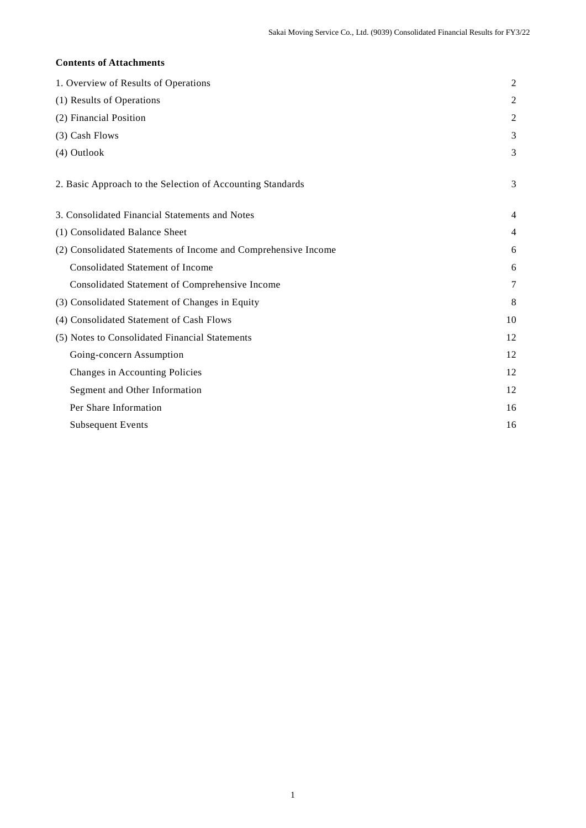# **Contents of Attachments**

| 1. Overview of Results of Operations                           | $\overline{c}$ |
|----------------------------------------------------------------|----------------|
| (1) Results of Operations                                      | 2              |
| (2) Financial Position                                         | 2              |
| (3) Cash Flows                                                 | 3              |
| (4) Outlook                                                    | 3              |
| 2. Basic Approach to the Selection of Accounting Standards     | 3              |
| 3. Consolidated Financial Statements and Notes                 | 4              |
| (1) Consolidated Balance Sheet                                 | 4              |
| (2) Consolidated Statements of Income and Comprehensive Income | 6              |
| <b>Consolidated Statement of Income</b>                        | 6              |
| Consolidated Statement of Comprehensive Income                 | 7              |
| (3) Consolidated Statement of Changes in Equity                | 8              |
| (4) Consolidated Statement of Cash Flows                       | 10             |
| (5) Notes to Consolidated Financial Statements                 | 12             |
| Going-concern Assumption                                       | 12             |
| Changes in Accounting Policies                                 | 12             |
| Segment and Other Information                                  | 12             |
| Per Share Information                                          | 16             |
| <b>Subsequent Events</b>                                       | 16             |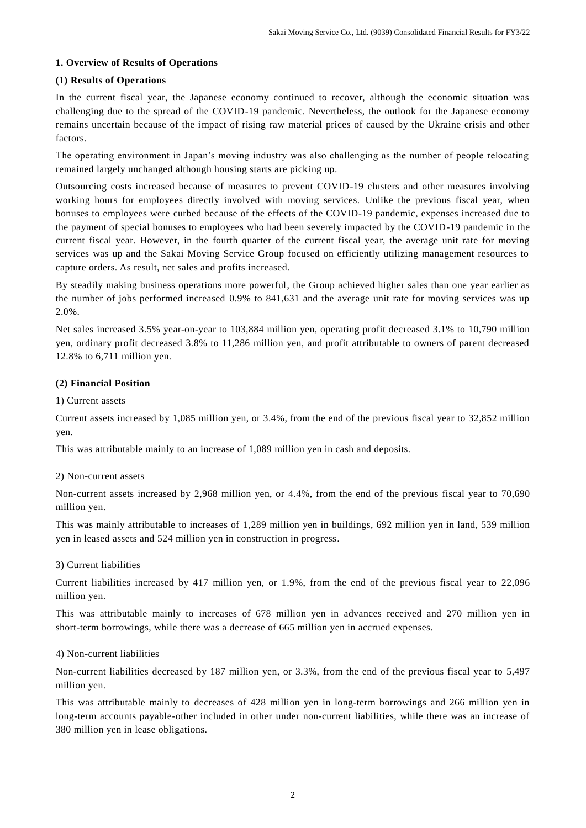# **1. Overview of Results of Operations**

# **(1) Results of Operations**

In the current fiscal year, the Japanese economy continued to recover, although the economic situation was challenging due to the spread of the COVID-19 pandemic. Nevertheless, the outlook for the Japanese economy remains uncertain because of the impact of rising raw material prices of caused by the Ukraine crisis and other factors.

The operating environment in Japan's moving industry was also challenging as the number of people relocating remained largely unchanged although housing starts are picking up.

Outsourcing costs increased because of measures to prevent COVID-19 clusters and other measures involving working hours for employees directly involved with moving services. Unlike the previous fiscal year, when bonuses to employees were curbed because of the effects of the COVID-19 pandemic, expenses increased due to the payment of special bonuses to employees who had been severely impacted by the COVID-19 pandemic in the current fiscal year. However, in the fourth quarter of the current fiscal year, the average unit rate for moving services was up and the Sakai Moving Service Group focused on efficiently utilizing management resources to capture orders. As result, net sales and profits increased.

By steadily making business operations more powerful, the Group achieved higher sales than one year earlier as the number of jobs performed increased 0.9% to 841,631 and the average unit rate for moving services was up 2.0%.

Net sales increased 3.5% year-on-year to 103,884 million yen, operating profit decreased 3.1% to 10,790 million yen, ordinary profit decreased 3.8% to 11,286 million yen, and profit attributable to owners of parent decreased 12.8% to 6,711 million yen.

# **(2) Financial Position**

1) Current assets

Current assets increased by 1,085 million yen, or 3.4%, from the end of the previous fiscal year to 32,852 million yen.

This was attributable mainly to an increase of 1,089 million yen in cash and deposits.

# 2) Non-current assets

Non-current assets increased by 2,968 million yen, or 4.4%, from the end of the previous fiscal year to 70,690 million yen.

This was mainly attributable to increases of 1,289 million yen in buildings, 692 million yen in land, 539 million yen in leased assets and 524 million yen in construction in progress.

# 3) Current liabilities

Current liabilities increased by 417 million yen, or 1.9%, from the end of the previous fiscal year to 22,096 million yen.

This was attributable mainly to increases of 678 million yen in advances received and 270 million yen in short-term borrowings, while there was a decrease of 665 million yen in accrued expenses.

# 4) Non-current liabilities

Non-current liabilities decreased by 187 million yen, or 3.3%, from the end of the previous fiscal year to 5,497 million yen.

This was attributable mainly to decreases of 428 million yen in long-term borrowings and 266 million yen in long-term accounts payable-other included in other under non-current liabilities, while there was an increase of 380 million yen in lease obligations.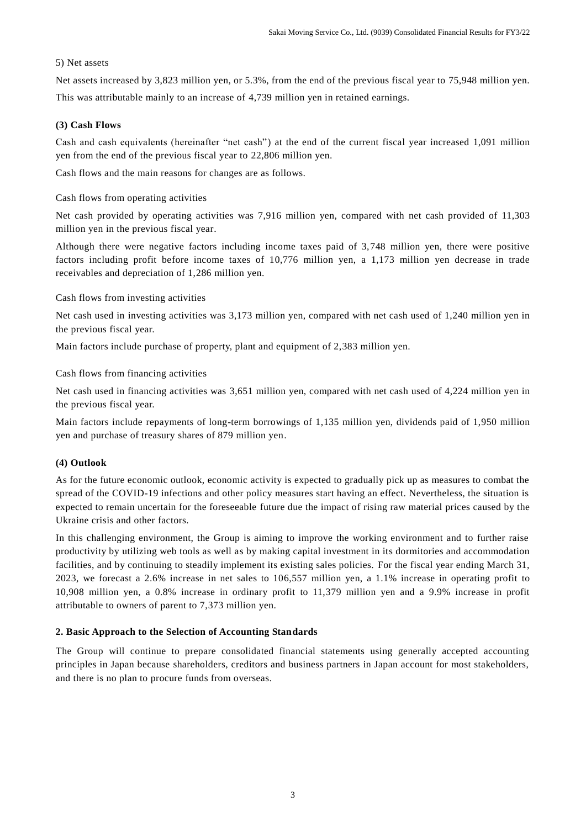### 5) Net assets

Net assets increased by 3,823 million yen, or 5.3%, from the end of the previous fiscal year to 75,948 million yen. This was attributable mainly to an increase of 4,739 million yen in retained earnings.

### **(3) Cash Flows**

Cash and cash equivalents (hereinafter "net cash") at the end of the current fiscal year increased 1,091 million yen from the end of the previous fiscal year to 22,806 million yen.

Cash flows and the main reasons for changes are as follows.

Cash flows from operating activities

Net cash provided by operating activities was 7,916 million yen, compared with net cash provided of 11,303 million yen in the previous fiscal year.

Although there were negative factors including income taxes paid of 3,748 million yen, there were positive factors including profit before income taxes of 10,776 million yen, a 1,173 million yen decrease in trade receivables and depreciation of 1,286 million yen.

Cash flows from investing activities

Net cash used in investing activities was 3,173 million yen, compared with net cash used of 1,240 million yen in the previous fiscal year.

Main factors include purchase of property, plant and equipment of 2,383 million yen.

Cash flows from financing activities

Net cash used in financing activities was 3,651 million yen, compared with net cash used of 4,224 million yen in the previous fiscal year.

Main factors include repayments of long-term borrowings of 1,135 million yen, dividends paid of 1,950 million yen and purchase of treasury shares of 879 million yen.

#### **(4) Outlook**

As for the future economic outlook, economic activity is expected to gradually pick up as measures to combat the spread of the COVID-19 infections and other policy measures start having an effect. Nevertheless, the situation is expected to remain uncertain for the foreseeable future due the impact of rising raw material prices caused by the Ukraine crisis and other factors.

In this challenging environment, the Group is aiming to improve the working environment and to further raise productivity by utilizing web tools as well as by making capital investment in its dormitories and accommodation facilities, and by continuing to steadily implement its existing sales policies. For the fiscal year ending March 31, 2023, we forecast a 2.6% increase in net sales to 106,557 million yen, a 1.1% increase in operating profit to 10,908 million yen, a 0.8% increase in ordinary profit to 11,379 million yen and a 9.9% increase in profit attributable to owners of parent to 7,373 million yen.

# **2. Basic Approach to the Selection of Accounting Standards**

The Group will continue to prepare consolidated financial statements using generally accepted accounting principles in Japan because shareholders, creditors and business partners in Japan account for most stakeholders, and there is no plan to procure funds from overseas.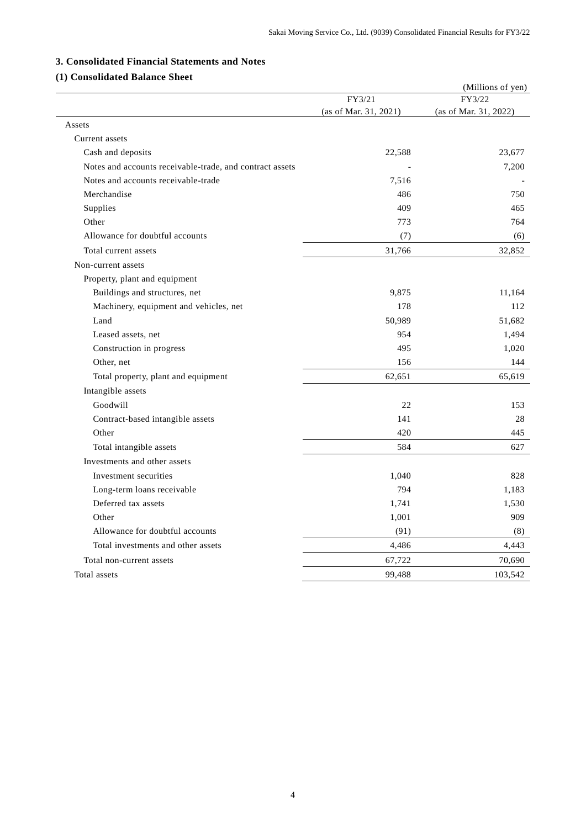# **3. Consolidated Financial Statements and Notes**

# **(1) Consolidated Balance Sheet**

| сонзончатся ваннее эне                                   |                       | (Millions of yen)     |
|----------------------------------------------------------|-----------------------|-----------------------|
|                                                          | FY3/21                | FY3/22                |
|                                                          | (as of Mar. 31, 2021) | (as of Mar. 31, 2022) |
| Assets                                                   |                       |                       |
| Current assets                                           |                       |                       |
| Cash and deposits                                        | 22,588                | 23,677                |
| Notes and accounts receivable-trade, and contract assets |                       | 7,200                 |
| Notes and accounts receivable-trade                      | 7,516                 |                       |
| Merchandise                                              | 486                   | 750                   |
| Supplies                                                 | 409                   | 465                   |
| Other                                                    | 773                   | 764                   |
| Allowance for doubtful accounts                          | (7)                   | (6)                   |
| Total current assets                                     | 31,766                | 32,852                |
| Non-current assets                                       |                       |                       |
| Property, plant and equipment                            |                       |                       |
| Buildings and structures, net                            | 9,875                 | 11,164                |
| Machinery, equipment and vehicles, net                   | 178                   | 112                   |
| Land                                                     | 50,989                | 51,682                |
| Leased assets, net                                       | 954                   | 1,494                 |
| Construction in progress                                 | 495                   | 1,020                 |
| Other, net                                               | 156                   | 144                   |
| Total property, plant and equipment                      | 62,651                | 65,619                |
| Intangible assets                                        |                       |                       |
| Goodwill                                                 | 22                    | 153                   |
| Contract-based intangible assets                         | 141                   | 28                    |
| Other                                                    | 420                   | 445                   |
| Total intangible assets                                  | 584                   | 627                   |
| Investments and other assets                             |                       |                       |
| Investment securities                                    | 1,040                 | 828                   |
| Long-term loans receivable                               | 794                   | 1,183                 |
| Deferred tax assets                                      | 1,741                 | 1,530                 |
| Other                                                    | 1,001                 | 909                   |
| Allowance for doubtful accounts                          | (91)                  | (8)                   |
| Total investments and other assets                       | 4,486                 | 4,443                 |
| Total non-current assets                                 | 67,722                | 70,690                |
| Total assets                                             | 99,488                | 103,542               |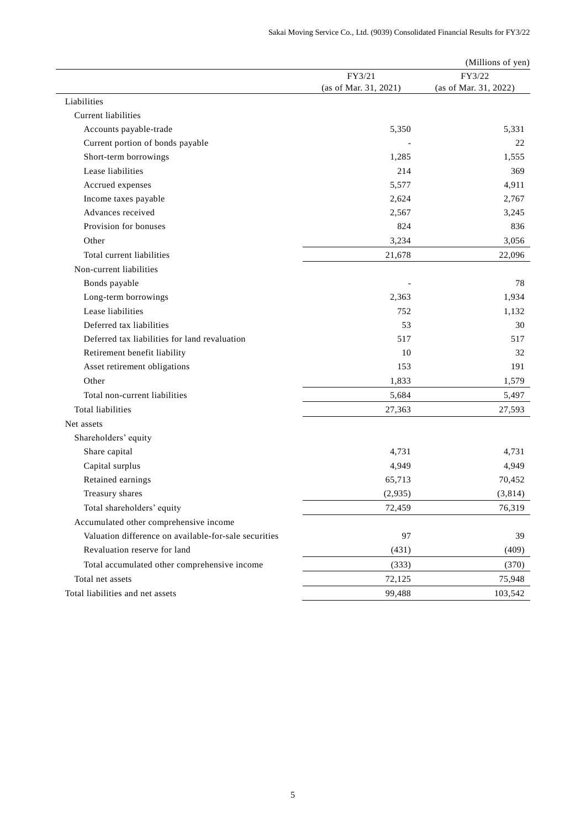|                                                       |                       | (Millions of yen)     |
|-------------------------------------------------------|-----------------------|-----------------------|
|                                                       | FY3/21                | FY3/22                |
|                                                       | (as of Mar. 31, 2021) | (as of Mar. 31, 2022) |
| Liabilities                                           |                       |                       |
| <b>Current liabilities</b>                            |                       |                       |
| Accounts payable-trade                                | 5,350                 | 5,331                 |
| Current portion of bonds payable                      |                       | 22                    |
| Short-term borrowings                                 | 1,285                 | 1,555                 |
| Lease liabilities                                     | 214                   | 369                   |
| Accrued expenses                                      | 5,577                 | 4,911                 |
| Income taxes payable                                  | 2,624                 | 2,767                 |
| Advances received                                     | 2,567                 | 3,245                 |
| Provision for bonuses                                 | 824                   | 836                   |
| Other                                                 | 3,234                 | 3,056                 |
| Total current liabilities                             | 21,678                | 22,096                |
| Non-current liabilities                               |                       |                       |
| Bonds payable                                         |                       | 78                    |
| Long-term borrowings                                  | 2,363                 | 1,934                 |
| Lease liabilities                                     | 752                   | 1,132                 |
| Deferred tax liabilities                              | 53                    | 30                    |
| Deferred tax liabilities for land revaluation         | 517                   | 517                   |
| Retirement benefit liability                          | 10                    | 32                    |
| Asset retirement obligations                          | 153                   | 191                   |
| Other                                                 | 1,833                 | 1,579                 |
| Total non-current liabilities                         | 5,684                 | 5,497                 |
| <b>Total liabilities</b>                              | 27,363                | 27,593                |
| Net assets                                            |                       |                       |
| Shareholders' equity                                  |                       |                       |
| Share capital                                         | 4,731                 | 4,731                 |
| Capital surplus                                       | 4,949                 | 4,949                 |
| Retained earnings                                     | 65,713                | 70,452                |
| Treasury shares                                       | (2,935)               | (3,814)               |
| Total shareholders' equity                            | 72,459                | 76,319                |
| Accumulated other comprehensive income                |                       |                       |
| Valuation difference on available-for-sale securities | 97                    | 39                    |
| Revaluation reserve for land                          | (431)                 | (409)                 |
| Total accumulated other comprehensive income          | (333)                 | (370)                 |
| Total net assets                                      | 72,125                | 75,948                |
| Total liabilities and net assets                      | 99,488                | 103,542               |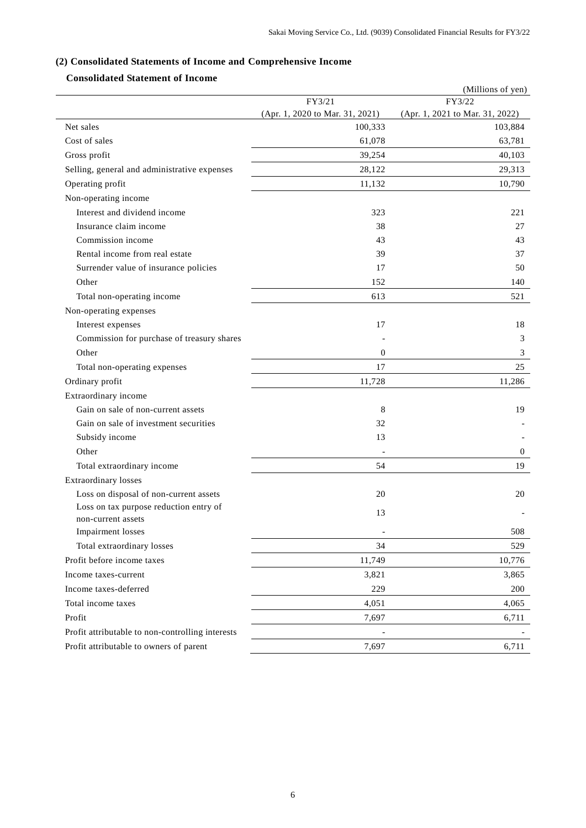# **(2) Consolidated Statements of Income and Comprehensive Income**

# **Consolidated Statement of Income**

|                                                  |                                 | (Millions of yen)               |
|--------------------------------------------------|---------------------------------|---------------------------------|
|                                                  | FY3/21                          | FY3/22                          |
|                                                  | (Apr. 1, 2020 to Mar. 31, 2021) | (Apr. 1, 2021 to Mar. 31, 2022) |
| Net sales                                        | 100,333                         | 103,884                         |
| Cost of sales                                    | 61,078                          | 63,781                          |
| Gross profit                                     | 39,254                          | 40,103                          |
| Selling, general and administrative expenses     | 28,122                          | 29,313                          |
| Operating profit                                 | 11,132                          | 10,790                          |
| Non-operating income                             |                                 |                                 |
| Interest and dividend income                     | 323                             | 221                             |
| Insurance claim income                           | 38                              | 27                              |
| Commission income                                | 43                              | 43                              |
| Rental income from real estate                   | 39                              | 37                              |
| Surrender value of insurance policies            | 17                              | 50                              |
| Other                                            | 152                             | 140                             |
| Total non-operating income                       | 613                             | 521                             |
| Non-operating expenses                           |                                 |                                 |
| Interest expenses                                | 17                              | 18                              |
| Commission for purchase of treasury shares       |                                 | 3                               |
| Other                                            | $\boldsymbol{0}$                | 3                               |
| Total non-operating expenses                     | 17                              | 25                              |
| Ordinary profit                                  | 11,728                          | 11,286                          |
| Extraordinary income                             |                                 |                                 |
| Gain on sale of non-current assets               | 8                               | 19                              |
| Gain on sale of investment securities            | 32                              |                                 |
| Subsidy income                                   | 13                              |                                 |
| Other                                            | ٠                               | $\mathbf{0}$                    |
| Total extraordinary income                       | 54                              | 19                              |
| Extraordinary losses                             |                                 |                                 |
| Loss on disposal of non-current assets           | 20                              | 20                              |
| Loss on tax purpose reduction entry of           | 13                              |                                 |
| non-current assets                               |                                 |                                 |
| <b>Impairment</b> losses                         |                                 | 508                             |
| Total extraordinary losses                       | 34                              | 529                             |
| Profit before income taxes                       | 11,749                          | 10,776                          |
| Income taxes-current                             | 3,821                           | 3,865                           |
| Income taxes-deferred                            | 229                             | 200                             |
| Total income taxes                               | 4,051                           | 4,065                           |
| Profit                                           | 7,697                           | 6,711                           |
| Profit attributable to non-controlling interests | $\qquad \qquad \blacksquare$    |                                 |
| Profit attributable to owners of parent          | 7,697                           | 6,711                           |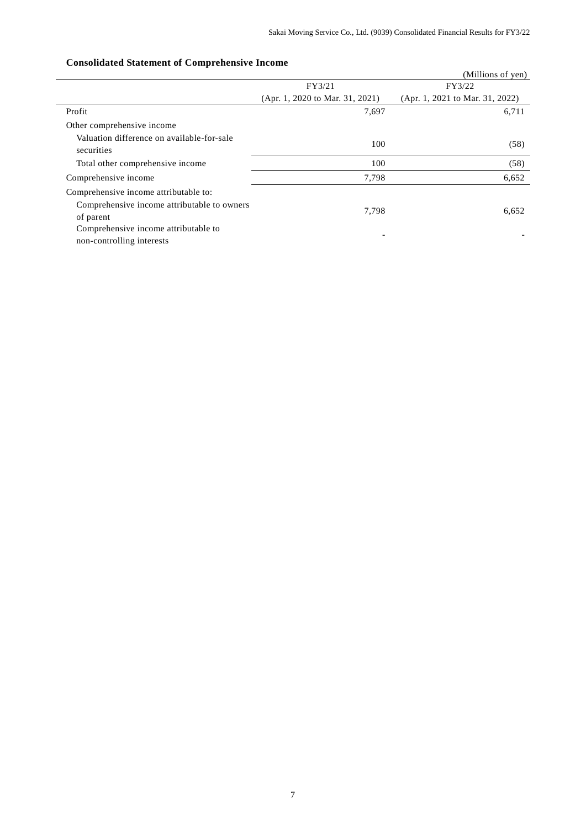#### (Millions of yen) FY3/21 (Apr. 1, 2020 to Mar. 31, 2021) FY3/22 (Apr. 1, 2021 to Mar. 31, 2022) Profit  $\begin{array}{ccc} 7,697 & 6,711 \end{array}$ Other comprehensive income Valuation difference on available-for-sale securities the contraction of the contract of the contract of the contract of the contract of the contract of the contract of the contract of the contract of the contract of the contract of the contract of the contract of Total other comprehensive income 100 (58) Comprehensive income  $7,798$  6,652 Comprehensive income attributable to: Comprehensive income attributable to owners of parent 7,798 6,652 Comprehensive income attributable to non-controlling interests and the complete state in the controlling interests and the controlling interests of the controlling interests of  $\sim$

### **Consolidated Statement of Comprehensive Income**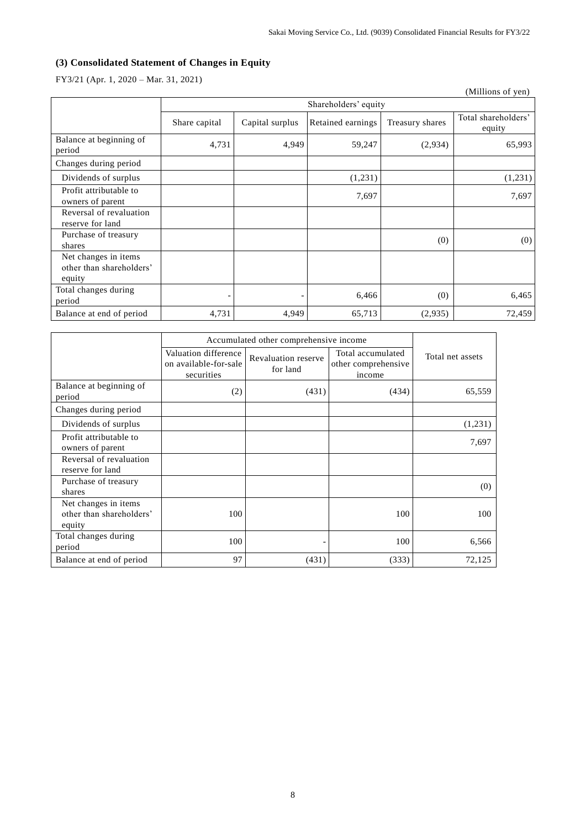# **(3) Consolidated Statement of Changes in Equity**

FY3/21 (Apr. 1, 2020 – Mar. 31, 2021)

|                                                            |               |                      |                   |                 | (Millions of yen)             |
|------------------------------------------------------------|---------------|----------------------|-------------------|-----------------|-------------------------------|
|                                                            |               | Shareholders' equity |                   |                 |                               |
|                                                            | Share capital | Capital surplus      | Retained earnings | Treasury shares | Total shareholders'<br>equity |
| Balance at beginning of<br>period                          | 4,731         | 4,949                | 59,247            | (2,934)         | 65,993                        |
| Changes during period                                      |               |                      |                   |                 |                               |
| Dividends of surplus                                       |               |                      | (1,231)           |                 | (1,231)                       |
| Profit attributable to<br>owners of parent                 |               |                      | 7,697             |                 | 7,697                         |
| Reversal of revaluation<br>reserve for land                |               |                      |                   |                 |                               |
| Purchase of treasury<br>shares                             |               |                      |                   | (0)             | (0)                           |
| Net changes in items<br>other than shareholders'<br>equity |               |                      |                   |                 |                               |
| Total changes during<br>period                             |               |                      | 6,466             | (0)             | 6,465                         |
| Balance at end of period                                   | 4,731         | 4,949                | 65,713            | (2,935)         | 72,459                        |

|                                                            | Accumulated other comprehensive income                      |                                 |                                                    |                  |
|------------------------------------------------------------|-------------------------------------------------------------|---------------------------------|----------------------------------------------------|------------------|
|                                                            | Valuation difference<br>on available-for-sale<br>securities | Revaluation reserve<br>for land | Total accumulated<br>other comprehensive<br>income | Total net assets |
| Balance at beginning of<br>period                          | (2)                                                         | (431)                           | (434)                                              | 65,559           |
| Changes during period                                      |                                                             |                                 |                                                    |                  |
| Dividends of surplus                                       |                                                             |                                 |                                                    | (1,231)          |
| Profit attributable to<br>owners of parent                 |                                                             |                                 |                                                    | 7,697            |
| Reversal of revaluation<br>reserve for land                |                                                             |                                 |                                                    |                  |
| Purchase of treasury<br>shares                             |                                                             |                                 |                                                    | (0)              |
| Net changes in items<br>other than shareholders'<br>equity | 100                                                         |                                 | 100                                                | 100              |
| Total changes during<br>period                             | 100                                                         |                                 | 100                                                | 6,566            |
| Balance at end of period                                   | 97                                                          | (431)                           | (333)                                              | 72,125           |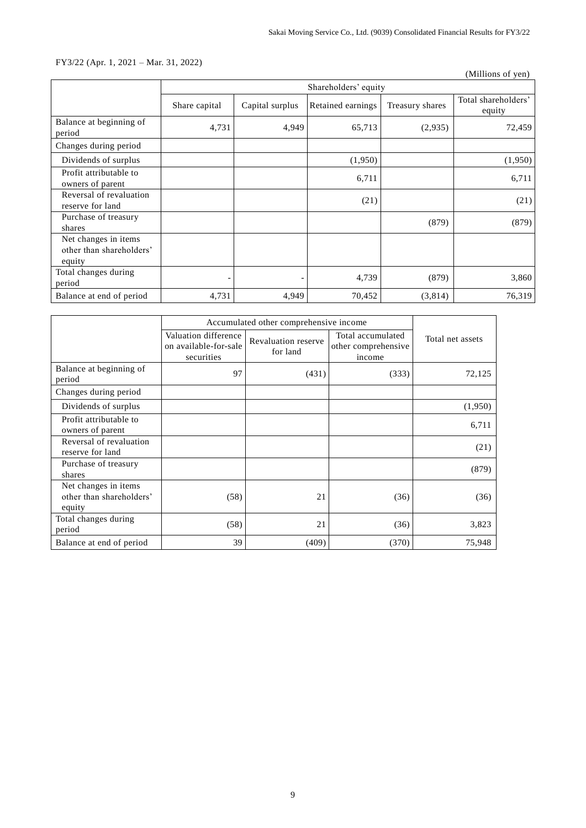# FY3/22 (Apr. 1, 2021 – Mar. 31, 2022)

(Millions of yen)

|                                                            | Shareholders' equity |                 |                   |                 |                               |
|------------------------------------------------------------|----------------------|-----------------|-------------------|-----------------|-------------------------------|
|                                                            | Share capital        | Capital surplus | Retained earnings | Treasury shares | Total shareholders'<br>equity |
| Balance at beginning of<br>period                          | 4,731                | 4,949           | 65,713            | (2,935)         | 72,459                        |
| Changes during period                                      |                      |                 |                   |                 |                               |
| Dividends of surplus                                       |                      |                 | (1,950)           |                 | (1,950)                       |
| Profit attributable to<br>owners of parent                 |                      |                 | 6,711             |                 | 6,711                         |
| Reversal of revaluation<br>reserve for land                |                      |                 | (21)              |                 | (21)                          |
| Purchase of treasury<br>shares                             |                      |                 |                   | (879)           | (879)                         |
| Net changes in items<br>other than shareholders'<br>equity |                      |                 |                   |                 |                               |
| Total changes during<br>period                             |                      |                 | 4,739             | (879)           | 3,860                         |
| Balance at end of period                                   | 4,731                | 4,949           | 70,452            | (3,814)         | 76,319                        |

|                                                            | Accumulated other comprehensive income                      |                                        |                                                    |                  |
|------------------------------------------------------------|-------------------------------------------------------------|----------------------------------------|----------------------------------------------------|------------------|
|                                                            | Valuation difference<br>on available-for-sale<br>securities | <b>Revaluation reserve</b><br>for land | Total accumulated<br>other comprehensive<br>income | Total net assets |
| Balance at beginning of<br>period                          | 97                                                          | (431)                                  | (333)                                              | 72,125           |
| Changes during period                                      |                                                             |                                        |                                                    |                  |
| Dividends of surplus                                       |                                                             |                                        |                                                    | (1,950)          |
| Profit attributable to<br>owners of parent                 |                                                             |                                        |                                                    | 6,711            |
| Reversal of revaluation<br>reserve for land                |                                                             |                                        |                                                    | (21)             |
| Purchase of treasury<br>shares                             |                                                             |                                        |                                                    | (879)            |
| Net changes in items<br>other than shareholders'<br>equity | (58)                                                        | 21                                     | (36)                                               | (36)             |
| Total changes during<br>period                             | (58)                                                        | 21                                     | (36)                                               | 3,823            |
| Balance at end of period                                   | 39                                                          | (409)                                  | (370)                                              | 75,948           |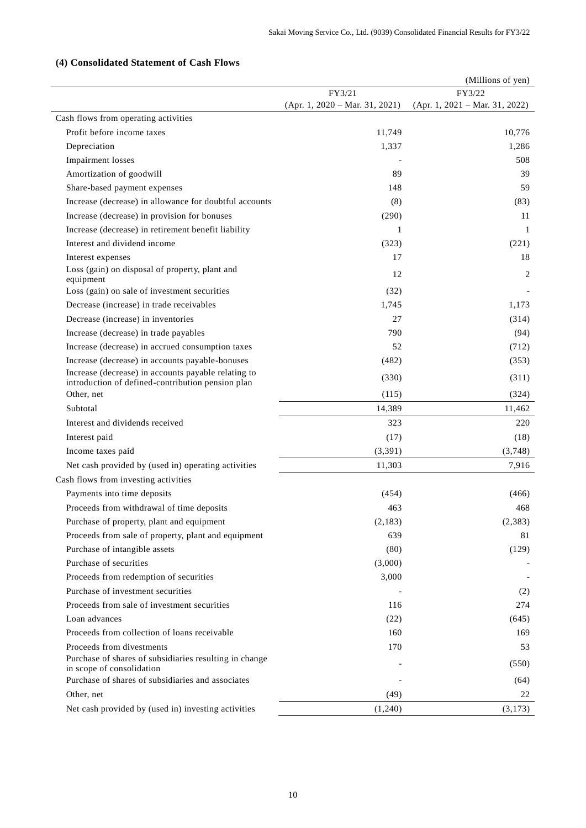# **(4) Consolidated Statement of Cash Flows**

|                                                                                                          |  |                                  | (Millions of yen) |                                  |
|----------------------------------------------------------------------------------------------------------|--|----------------------------------|-------------------|----------------------------------|
|                                                                                                          |  | FY3/21                           |                   | FY3/22                           |
|                                                                                                          |  | $(Apr. 1, 2020 - Mar. 31, 2021)$ |                   | $(Apr. 1, 2021 - Mar. 31, 2022)$ |
| Cash flows from operating activities                                                                     |  |                                  |                   |                                  |
| Profit before income taxes                                                                               |  | 11,749                           |                   | 10,776                           |
| Depreciation                                                                                             |  | 1,337                            |                   | 1,286                            |
| <b>Impairment</b> losses                                                                                 |  |                                  |                   | 508                              |
| Amortization of goodwill                                                                                 |  | 89                               |                   | 39                               |
| Share-based payment expenses                                                                             |  | 148                              |                   | 59                               |
| Increase (decrease) in allowance for doubtful accounts                                                   |  | (8)                              |                   | (83)                             |
| Increase (decrease) in provision for bonuses                                                             |  | (290)                            |                   | 11                               |
| Increase (decrease) in retirement benefit liability                                                      |  | 1                                |                   | 1                                |
| Interest and dividend income                                                                             |  | (323)                            |                   | (221)                            |
| Interest expenses                                                                                        |  | 17                               |                   | 18                               |
| Loss (gain) on disposal of property, plant and<br>equipment                                              |  | 12                               |                   | 2                                |
| Loss (gain) on sale of investment securities                                                             |  | (32)                             |                   |                                  |
| Decrease (increase) in trade receivables                                                                 |  | 1,745                            |                   | 1,173                            |
| Decrease (increase) in inventories                                                                       |  | 27                               |                   | (314)                            |
| Increase (decrease) in trade payables                                                                    |  | 790                              |                   | (94)                             |
| Increase (decrease) in accrued consumption taxes                                                         |  | 52                               |                   | (712)                            |
| Increase (decrease) in accounts payable-bonuses                                                          |  | (482)                            |                   | (353)                            |
| Increase (decrease) in accounts payable relating to<br>introduction of defined-contribution pension plan |  | (330)                            |                   | (311)                            |
| Other, net                                                                                               |  | (115)                            |                   | (324)                            |
| Subtotal                                                                                                 |  | 14,389                           |                   | 11,462                           |
| Interest and dividends received                                                                          |  | 323                              |                   | 220                              |
| Interest paid                                                                                            |  | (17)                             |                   | (18)                             |
| Income taxes paid                                                                                        |  | (3, 391)                         |                   | (3,748)                          |
| Net cash provided by (used in) operating activities                                                      |  | 11,303                           |                   | 7,916                            |
| Cash flows from investing activities                                                                     |  |                                  |                   |                                  |
| Payments into time deposits                                                                              |  | (454)                            |                   | (466)                            |
| Proceeds from withdrawal of time deposits                                                                |  | 463                              |                   | 468                              |
| Purchase of property, plant and equipment                                                                |  | (2, 183)                         |                   | (2, 383)                         |
| Proceeds from sale of property, plant and equipment                                                      |  | 639                              |                   | 81                               |
| Purchase of intangible assets                                                                            |  | (80)                             |                   | (129)                            |
| Purchase of securities                                                                                   |  | (3,000)                          |                   |                                  |
| Proceeds from redemption of securities                                                                   |  | 3,000                            |                   |                                  |
| Purchase of investment securities                                                                        |  |                                  |                   | (2)                              |
| Proceeds from sale of investment securities                                                              |  | 116                              |                   | 274                              |
| Loan advances                                                                                            |  | (22)                             |                   | (645)                            |
| Proceeds from collection of loans receivable                                                             |  | 160                              |                   | 169                              |
| Proceeds from divestments                                                                                |  | 170                              |                   | 53                               |
| Purchase of shares of subsidiaries resulting in change<br>in scope of consolidation                      |  |                                  |                   | (550)                            |
| Purchase of shares of subsidiaries and associates                                                        |  |                                  |                   | (64)                             |
| Other, net                                                                                               |  | (49)                             |                   | 22                               |
| Net cash provided by (used in) investing activities                                                      |  | (1,240)                          |                   | (3,173)                          |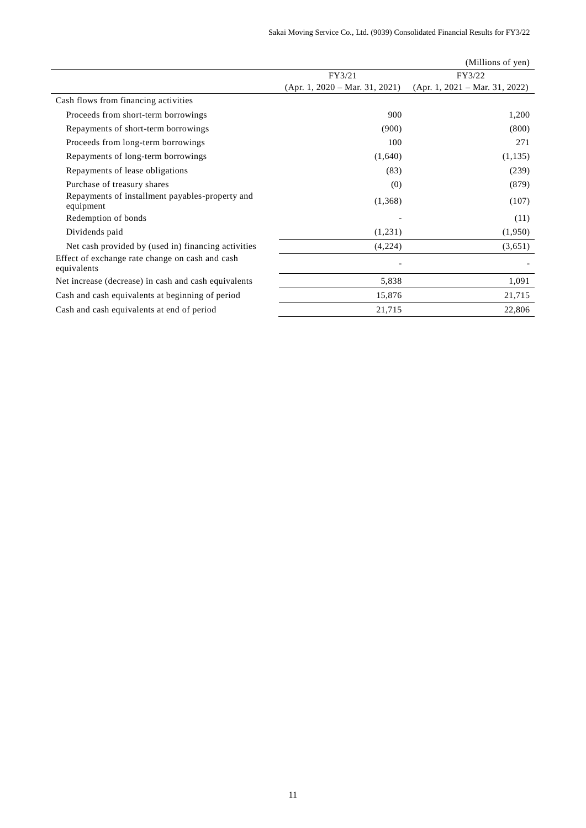|                                                                |                                  | (Millions of yen)                |
|----------------------------------------------------------------|----------------------------------|----------------------------------|
|                                                                | FY3/21                           | FY3/22                           |
|                                                                | $(Apr. 1, 2020 - Mar. 31, 2021)$ | $(Apr. 1, 2021 - Mar. 31, 2022)$ |
| Cash flows from financing activities                           |                                  |                                  |
| Proceeds from short-term borrowings                            | 900                              | 1,200                            |
| Repayments of short-term borrowings                            | (900)                            | (800)                            |
| Proceeds from long-term borrowings                             | 100                              | 271                              |
| Repayments of long-term borrowings                             | (1,640)                          | (1, 135)                         |
| Repayments of lease obligations                                | (83)                             | (239)                            |
| Purchase of treasury shares                                    | (0)                              | (879)                            |
| Repayments of installment payables-property and<br>equipment   | (1,368)                          | (107)                            |
| Redemption of bonds                                            |                                  | (11)                             |
| Dividends paid                                                 | (1,231)                          | (1,950)                          |
| Net cash provided by (used in) financing activities            | (4,224)                          | (3,651)                          |
| Effect of exchange rate change on cash and cash<br>equivalents |                                  |                                  |
| Net increase (decrease) in cash and cash equivalents           | 5,838                            | 1,091                            |
| Cash and cash equivalents at beginning of period               | 15,876                           | 21,715                           |
| Cash and cash equivalents at end of period                     | 21,715                           | 22,806                           |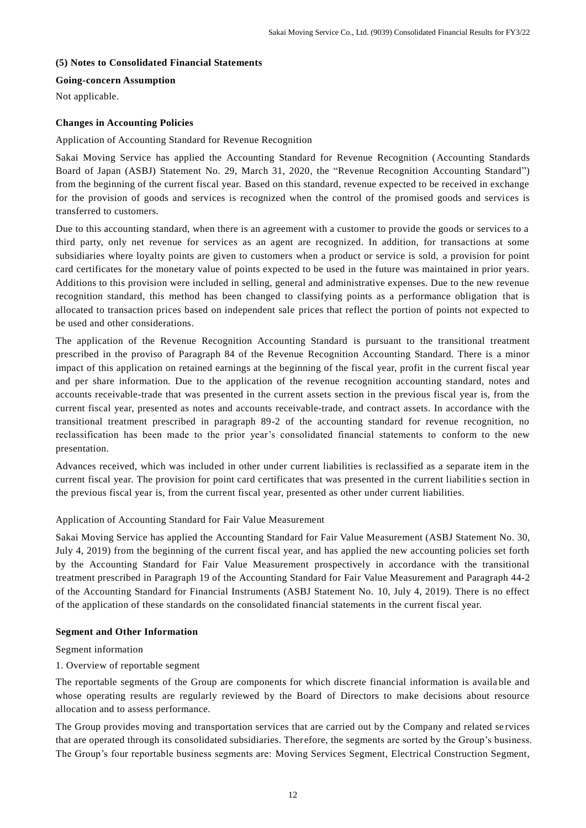### **(5) Notes to Consolidated Financial Statements**

# **Going-concern Assumption**

Not applicable.

### **Changes in Accounting Policies**

Application of Accounting Standard for Revenue Recognition

Sakai Moving Service has applied the Accounting Standard for Revenue Recognition (Accounting Standards Board of Japan (ASBJ) Statement No. 29, March 31, 2020, the "Revenue Recognition Accounting Standard") from the beginning of the current fiscal year. Based on this standard, revenue expected to be received in exchange for the provision of goods and services is recognized when the control of the promised goods and services is transferred to customers.

Due to this accounting standard, when there is an agreement with a customer to provide the goods or services to a third party, only net revenue for services as an agent are recognized. In addition, for transactions at some subsidiaries where loyalty points are given to customers when a product or service is sold, a provision for point card certificates for the monetary value of points expected to be used in the future was maintained in prior years. Additions to this provision were included in selling, general and administrative expenses. Due to the new revenue recognition standard, this method has been changed to classifying points as a performance obligation that is allocated to transaction prices based on independent sale prices that reflect the portion of points not expected to be used and other considerations.

The application of the Revenue Recognition Accounting Standard is pursuant to the transitional treatment prescribed in the proviso of Paragraph 84 of the Revenue Recognition Accounting Standard. There is a minor impact of this application on retained earnings at the beginning of the fiscal year, profit in the current fiscal year and per share information. Due to the application of the revenue recognition accounting standard, notes and accounts receivable-trade that was presented in the current assets section in the previous fiscal year is, from the current fiscal year, presented as notes and accounts receivable-trade, and contract assets. In accordance with the transitional treatment prescribed in paragraph 89-2 of the accounting standard for revenue recognition, no reclassification has been made to the prior year's consolidated financial statements to conform to the new presentation.

Advances received, which was included in other under current liabilities is reclassified as a separate item in the current fiscal year. The provision for point card certificates that was presented in the current liabilitie s section in the previous fiscal year is, from the current fiscal year, presented as other under current liabilities.

### Application of Accounting Standard for Fair Value Measurement

Sakai Moving Service has applied the Accounting Standard for Fair Value Measurement (ASBJ Statement No. 30, July 4, 2019) from the beginning of the current fiscal year, and has applied the new accounting policies set forth by the Accounting Standard for Fair Value Measurement prospectively in accordance with the transitional treatment prescribed in Paragraph 19 of the Accounting Standard for Fair Value Measurement and Paragraph 44-2 of the Accounting Standard for Financial Instruments (ASBJ Statement No. 10, July 4, 2019). There is no effect of the application of these standards on the consolidated financial statements in the current fiscal year.

### **Segment and Other Information**

#### Segment information

#### 1. Overview of reportable segment

The reportable segments of the Group are components for which discrete financial information is availa ble and whose operating results are regularly reviewed by the Board of Directors to make decisions about resource allocation and to assess performance.

The Group provides moving and transportation services that are carried out by the Company and related se rvices that are operated through its consolidated subsidiaries. Therefore, the segments are sorted by the Group's business. The Group's four reportable business segments are: Moving Services Segment, Electrical Construction Segment,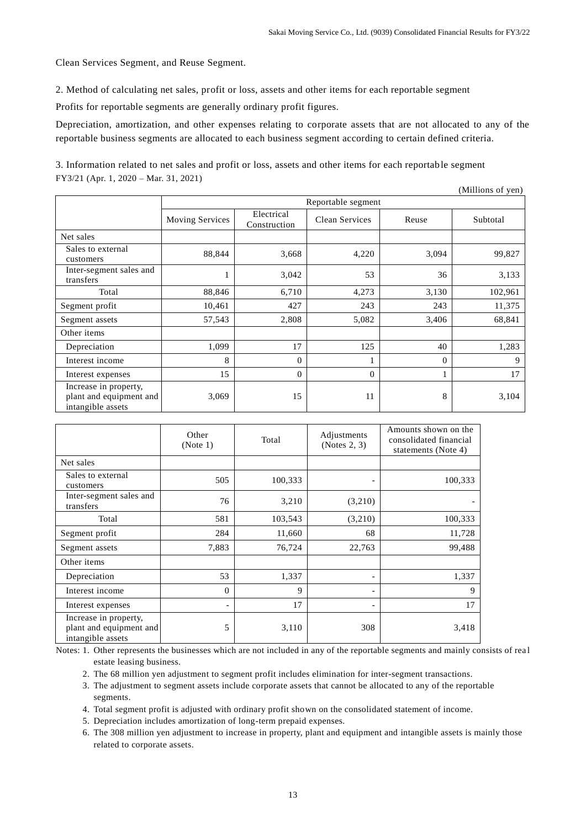Clean Services Segment, and Reuse Segment.

2. Method of calculating net sales, profit or loss, assets and other items for each reportable segment

Profits for reportable segments are generally ordinary profit figures.

Depreciation, amortization, and other expenses relating to corporate assets that are not allocated to any of the reportable business segments are allocated to each business segment according to certain defined criteria.

3. Information related to net sales and profit or loss, assets and other items for each reportable segment FY3/21 (Apr. 1, 2020 – Mar. 31, 2021)

|                                                                       |                        |                            |                |          | (Millions of yen) |  |
|-----------------------------------------------------------------------|------------------------|----------------------------|----------------|----------|-------------------|--|
|                                                                       |                        | Reportable segment         |                |          |                   |  |
|                                                                       | <b>Moving Services</b> | Electrical<br>Construction | Clean Services | Reuse    | Subtotal          |  |
| Net sales                                                             |                        |                            |                |          |                   |  |
| Sales to external<br>customers                                        | 88,844                 | 3,668                      | 4,220          | 3,094    | 99,827            |  |
| Inter-segment sales and<br>transfers                                  |                        | 3,042                      | 53             | 36       | 3,133             |  |
| Total                                                                 | 88,846                 | 6,710                      | 4,273          | 3,130    | 102,961           |  |
| Segment profit                                                        | 10,461                 | 427                        | 243            | 243      | 11,375            |  |
| Segment assets                                                        | 57,543                 | 2,808                      | 5,082          | 3,406    | 68,841            |  |
| Other items                                                           |                        |                            |                |          |                   |  |
| Depreciation                                                          | 1,099                  | 17                         | 125            | 40       | 1,283             |  |
| Interest income                                                       | 8                      | $\Omega$                   |                | $\Omega$ | 9                 |  |
| Interest expenses                                                     | 15                     | $\theta$                   | $\mathbf{0}$   | 1        | 17                |  |
| Increase in property,<br>plant and equipment and<br>intangible assets | 3,069                  | 15                         | 11             | 8        | 3,104             |  |

|                                                                       | Other<br>(Note 1)        | Total   | Adjustments<br>(Notes 2, 3) | Amounts shown on the<br>consolidated financial<br>statements (Note 4) |
|-----------------------------------------------------------------------|--------------------------|---------|-----------------------------|-----------------------------------------------------------------------|
| Net sales                                                             |                          |         |                             |                                                                       |
| Sales to external<br>customers                                        | 505                      | 100,333 | -                           | 100,333                                                               |
| Inter-segment sales and<br>transfers                                  | 76                       | 3,210   | (3,210)                     |                                                                       |
| Total                                                                 | 581                      | 103,543 | (3,210)                     | 100,333                                                               |
| Segment profit                                                        | 284                      | 11,660  | 68                          | 11,728                                                                |
| Segment assets                                                        | 7,883                    | 76,724  | 22,763                      | 99,488                                                                |
| Other items                                                           |                          |         |                             |                                                                       |
| Depreciation                                                          | 53                       | 1,337   | -                           | 1,337                                                                 |
| Interest income                                                       | $\mathbf{0}$             | 9       | -                           | 9                                                                     |
| Interest expenses                                                     | $\overline{\phantom{a}}$ | 17      | -                           | 17                                                                    |
| Increase in property,<br>plant and equipment and<br>intangible assets | 5                        | 3,110   | 308                         | 3,418                                                                 |

Notes: 1. Other represents the businesses which are not included in any of the reportable segments and mainly consists of rea l estate leasing business.

2. The 68 million yen adjustment to segment profit includes elimination for inter-segment transactions.

3. The adjustment to segment assets include corporate assets that cannot be allocated to any of the reportable segments.

4. Total segment profit is adjusted with ordinary profit shown on the consolidated statement of income.

5. Depreciation includes amortization of long-term prepaid expenses.

6. The 308 million yen adjustment to increase in property, plant and equipment and intangible assets is mainly those related to corporate assets.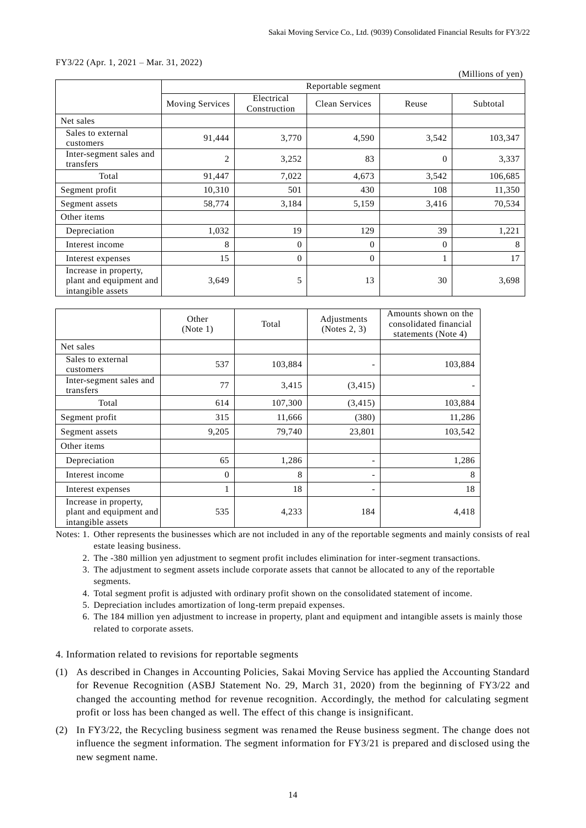#### FY3/22 (Apr. 1, 2021 – Mar. 31, 2022)

(Millions of yen)

|                                                                       |                 | Reportable segment         |                |          |          |  |
|-----------------------------------------------------------------------|-----------------|----------------------------|----------------|----------|----------|--|
|                                                                       | Moving Services | Electrical<br>Construction | Clean Services | Reuse    | Subtotal |  |
| Net sales                                                             |                 |                            |                |          |          |  |
| Sales to external<br>customers                                        | 91,444          | 3,770                      | 4,590          | 3,542    | 103,347  |  |
| Inter-segment sales and<br>transfers                                  | $\overline{c}$  | 3,252                      | 83             | $\theta$ | 3,337    |  |
| Total                                                                 | 91,447          | 7,022                      | 4,673          | 3,542    | 106,685  |  |
| Segment profit                                                        | 10,310          | 501                        | 430            | 108      | 11,350   |  |
| Segment assets                                                        | 58,774          | 3,184                      | 5,159          | 3,416    | 70,534   |  |
| Other items                                                           |                 |                            |                |          |          |  |
| Depreciation                                                          | 1,032           | 19                         | 129            | 39       | 1,221    |  |
| Interest income                                                       | 8               | $\Omega$                   | $\Omega$       | $\Omega$ | 8        |  |
| Interest expenses                                                     | 15              | $\overline{0}$             | $\mathbf{0}$   |          | 17       |  |
| Increase in property,<br>plant and equipment and<br>intangible assets | 3,649           | 5                          | 13             | 30       | 3,698    |  |

|                                                                       | Other<br>(Note 1) | Total   | Adjustments<br>(Notes 2, 3) | Amounts shown on the<br>consolidated financial<br>statements (Note 4) |
|-----------------------------------------------------------------------|-------------------|---------|-----------------------------|-----------------------------------------------------------------------|
| Net sales                                                             |                   |         |                             |                                                                       |
| Sales to external<br>customers                                        | 537               | 103,884 |                             | 103,884                                                               |
| Inter-segment sales and<br>transfers                                  | 77                | 3,415   | (3,415)                     |                                                                       |
| Total                                                                 | 614               | 107,300 | (3, 415)                    | 103,884                                                               |
| Segment profit                                                        | 315               | 11,666  | (380)                       | 11,286                                                                |
| Segment assets                                                        | 9,205             | 79,740  | 23,801                      | 103,542                                                               |
| Other items                                                           |                   |         |                             |                                                                       |
| Depreciation                                                          | 65                | 1,286   |                             | 1,286                                                                 |
| Interest income                                                       | $\mathbf{0}$      | 8       |                             | 8                                                                     |
| Interest expenses                                                     | 1                 | 18      | -                           | 18                                                                    |
| Increase in property,<br>plant and equipment and<br>intangible assets | 535               | 4,233   | 184                         | 4,418                                                                 |

Notes: 1. Other represents the businesses which are not included in any of the reportable segments and mainly consists of real estate leasing business.

- 2. The -380 million yen adjustment to segment profit includes elimination for inter-segment transactions.
- 3. The adjustment to segment assets include corporate assets that cannot be allocated to any of the reportable segments.
- 4. Total segment profit is adjusted with ordinary profit shown on the consolidated statement of income.
- 5. Depreciation includes amortization of long-term prepaid expenses.
- 6. The 184 million yen adjustment to increase in property, plant and equipment and intangible assets is mainly those related to corporate assets.

# 4. Information related to revisions for reportable segments

- (1) As described in Changes in Accounting Policies, Sakai Moving Service has applied the Accounting Standard for Revenue Recognition (ASBJ Statement No. 29, March 31, 2020) from the beginning of FY3/22 and changed the accounting method for revenue recognition. Accordingly, the method for calculating segment profit or loss has been changed as well. The effect of this change is insignificant.
- (2) In FY3/22, the Recycling business segment was renamed the Reuse business segment. The change does not influence the segment information. The segment information for FY3/21 is prepared and disclosed using the new segment name.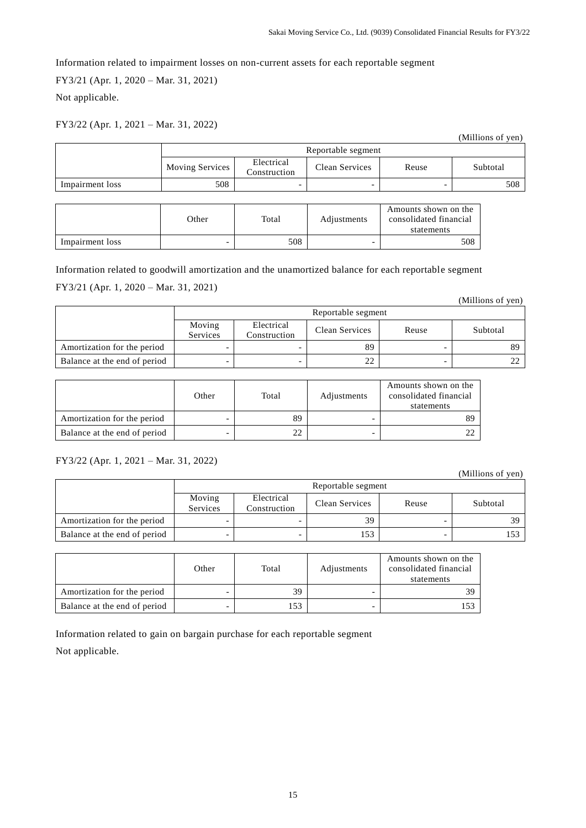Information related to impairment losses on non-current assets for each reportable segment

FY3/21 (Apr. 1, 2020 – Mar. 31, 2021)

Not applicable.

# FY3/22 (Apr. 1, 2021 – Mar. 31, 2022)

|                 |                        |                            |                |       | (Millions of yen) |
|-----------------|------------------------|----------------------------|----------------|-------|-------------------|
|                 | Reportable segment     |                            |                |       |                   |
|                 | <b>Moving Services</b> | Electrical<br>Construction | Clean Services | Reuse | Subtotal          |
| Impairment loss | 508                    |                            | -              |       | 508               |

|                 | Other | Total | Adjustments              | Amounts shown on the<br>consolidated financial<br>statements |
|-----------------|-------|-------|--------------------------|--------------------------------------------------------------|
| Impairment loss |       | 508   | $\overline{\phantom{0}}$ | 508                                                          |

Information related to goodwill amortization and the unamortized balance for each reportable segment FY3/21 (Apr. 1, 2020 – Mar. 31, 2021)

|                              | Reportable segment |                            |                |       |          |
|------------------------------|--------------------|----------------------------|----------------|-------|----------|
|                              | Moving<br>Services | Electrical<br>Construction | Clean Services | Reuse | Subtotal |
| Amortization for the period  |                    |                            | 89             |       | 89       |
| Balance at the end of period |                    |                            | 22             | -     |          |

|                              | Other | Total | Adjustments | Amounts shown on the<br>consolidated financial<br>statements |
|------------------------------|-------|-------|-------------|--------------------------------------------------------------|
| Amortization for the period  |       | 89    |             |                                                              |
| Balance at the end of period |       |       |             |                                                              |

# FY3/22 (Apr. 1, 2021 – Mar. 31, 2022)

(Millions of yen)

(Millions of yen)

|                              | Reportable segment |                            |                |       |          |
|------------------------------|--------------------|----------------------------|----------------|-------|----------|
|                              | Moving<br>Services | Electrical<br>Construction | Clean Services | Reuse | Subtotal |
| Amortization for the period  |                    |                            | 39             |       | 39       |
| Balance at the end of period |                    |                            | 153            |       | 153      |

|                              | Other | Total | Adjustments | Amounts shown on the<br>consolidated financial<br>statements |
|------------------------------|-------|-------|-------------|--------------------------------------------------------------|
| Amortization for the period  |       | 39    |             | 39                                                           |
| Balance at the end of period |       | 153   |             |                                                              |

Information related to gain on bargain purchase for each reportable segment

Not applicable.